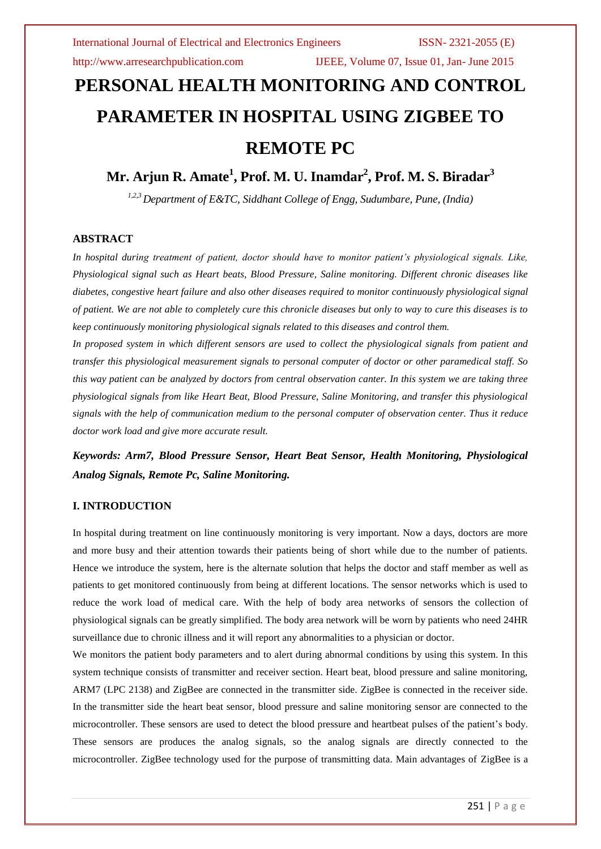http://www.arresearchpublication.com IJEEE, Volume 07, Issue 01, Jan- June 2015

# **PERSONAL HEALTH MONITORING AND CONTROL PARAMETER IN HOSPITAL USING ZIGBEE TO REMOTE PC**

**Mr. Arjun R. Amate<sup>1</sup> , Prof. M. U. Inamdar<sup>2</sup> , Prof. M. S. Biradar<sup>3</sup>**

*1,2,3Department of E&TC, Siddhant College of Engg, Sudumbare, Pune, (India)*

### **ABSTRACT**

*In hospital during treatment of patient, doctor should have to monitor patient's physiological signals. Like, Physiological signal such as Heart beats, Blood Pressure, Saline monitoring. Different chronic diseases like diabetes, congestive heart failure and also other diseases required to monitor continuously physiological signal of patient. We are not able to completely cure this chronicle diseases but only to way to cure this diseases is to keep continuously monitoring physiological signals related to this diseases and control them.*

*In proposed system in which different sensors are used to collect the physiological signals from patient and transfer this physiological measurement signals to personal computer of doctor or other paramedical staff. So this way patient can be analyzed by doctors from central observation canter. In this system we are taking three physiological signals from like Heart Beat, Blood Pressure, Saline Monitoring, and transfer this physiological signals with the help of communication medium to the personal computer of observation center. Thus it reduce doctor work load and give more accurate result.*

*Keywords: Arm7, Blood Pressure Sensor, Heart Beat Sensor, Health Monitoring, Physiological Analog Signals, Remote Pc, Saline Monitoring.*

### **I. INTRODUCTION**

In hospital during treatment on line continuously monitoring is very important. Now a days, doctors are more and more busy and their attention towards their patients being of short while due to the number of patients. Hence we introduce the system, here is the alternate solution that helps the doctor and staff member as well as patients to get monitored continuously from being at different locations. The sensor networks which is used to reduce the work load of medical care. With the help of body area networks of sensors the collection of physiological signals can be greatly simplified. The body area network will be worn by patients who need 24HR surveillance due to chronic illness and it will report any abnormalities to a physician or doctor.

We monitors the patient body parameters and to alert during abnormal conditions by using this system. In this system technique consists of transmitter and receiver section. Heart beat, blood pressure and saline monitoring, ARM7 (LPC 2138) and ZigBee are connected in the transmitter side. ZigBee is connected in the receiver side. In the transmitter side the heart beat sensor, blood pressure and saline monitoring sensor are connected to the microcontroller. These sensors are used to detect the blood pressure and heartbeat pulses of the patient's body. These sensors are produces the analog signals, so the analog signals are directly connected to the microcontroller. ZigBee technology used for the purpose of transmitting data. Main advantages of ZigBee is a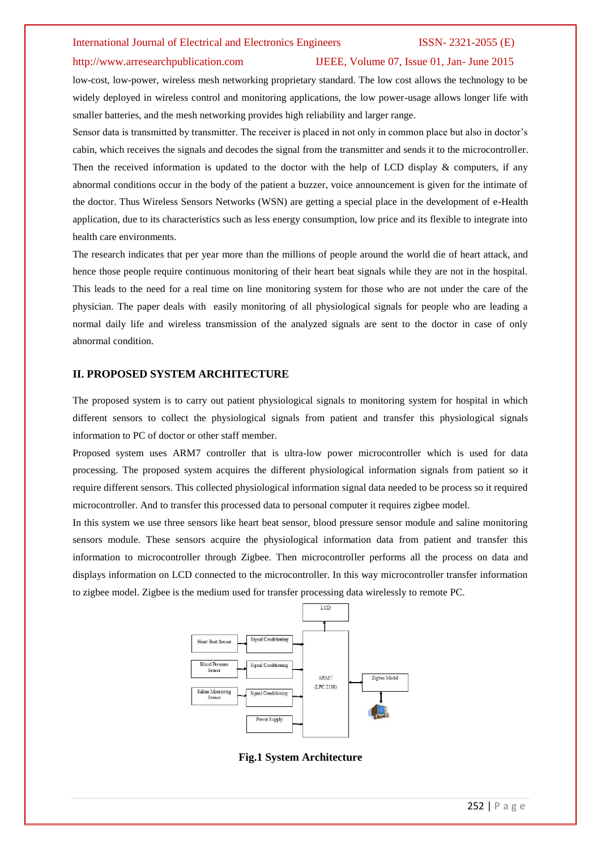#### International Journal of Electrical and Electronics Engineers ISSN- 2321-2055 (E)

#### http://www.arresearchpublication.com IJEEE, Volume 07, Issue 01, Jan- June 2015

low-cost, low-power, wireless mesh networking proprietary standard. The low cost allows the technology to be widely deployed in wireless control and monitoring applications, the low power-usage allows longer life with smaller batteries, and the mesh networking provides high reliability and larger range.

Sensor data is transmitted by transmitter. The receiver is placed in not only in common place but also in doctor's cabin, which receives the signals and decodes the signal from the transmitter and sends it to the microcontroller. Then the received information is updated to the doctor with the help of LCD display & computers, if any abnormal conditions occur in the body of the patient a buzzer, voice announcement is given for the intimate of the doctor. Thus Wireless Sensors Networks (WSN) are getting a special place in the development of e-Health application, due to its characteristics such as less energy consumption, low price and its flexible to integrate into health care environments.

The research indicates that per year more than the millions of people around the world die of heart attack, and hence those people require continuous monitoring of their heart beat signals while they are not in the hospital. This leads to the need for a real time on line monitoring system for those who are not under the care of the physician. The paper deals with easily monitoring of all physiological signals for people who are leading a normal daily life and wireless transmission of the analyzed signals are sent to the doctor in case of only abnormal condition.

#### **II. PROPOSED SYSTEM ARCHITECTURE**

The proposed system is to carry out patient physiological signals to monitoring system for hospital in which different sensors to collect the physiological signals from patient and transfer this physiological signals information to PC of doctor or other staff member.

Proposed system uses ARM7 controller that is ultra-low power microcontroller which is used for data processing. The proposed system acquires the different physiological information signals from patient so it require different sensors. This collected physiological information signal data needed to be process so it required microcontroller. And to transfer this processed data to personal computer it requires zigbee model.

In this system we use three sensors like heart beat sensor, blood pressure sensor module and saline monitoring sensors module. These sensors acquire the physiological information data from patient and transfer this information to microcontroller through Zigbee. Then microcontroller performs all the process on data and displays information on LCD connected to the microcontroller. In this way microcontroller transfer information to zigbee model. Zigbee is the medium used for transfer processing data wirelessly to remote PC.



**Fig.1 System Architecture**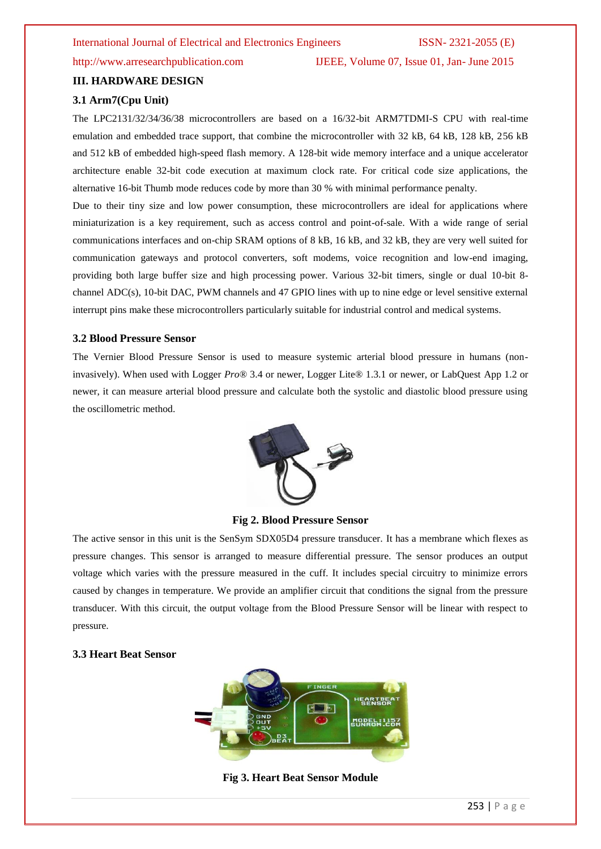### http://www.arresearchpublication.com IJEEE, Volume 07, Issue 01, Jan- June 2015

## **III. HARDWARE DESIGN**

### **3.1 Arm7(Cpu Unit)**

The LPC2131/32/34/36/38 microcontrollers are based on a 16/32-bit ARM7TDMI-S CPU with real-time emulation and embedded trace support, that combine the microcontroller with 32 kB, 64 kB, 128 kB, 256 kB and 512 kB of embedded high-speed flash memory. A 128-bit wide memory interface and a unique accelerator architecture enable 32-bit code execution at maximum clock rate. For critical code size applications, the alternative 16-bit Thumb mode reduces code by more than 30 % with minimal performance penalty.

Due to their tiny size and low power consumption, these microcontrollers are ideal for applications where miniaturization is a key requirement, such as access control and point-of-sale. With a wide range of serial communications interfaces and on-chip SRAM options of 8 kB, 16 kB, and 32 kB, they are very well suited for communication gateways and protocol converters, soft modems, voice recognition and low-end imaging, providing both large buffer size and high processing power. Various 32-bit timers, single or dual 10-bit 8 channel ADC(s), 10-bit DAC, PWM channels and 47 GPIO lines with up to nine edge or level sensitive external interrupt pins make these microcontrollers particularly suitable for industrial control and medical systems.

#### **3.2 Blood Pressure Sensor**

The Vernier Blood Pressure Sensor is used to measure systemic arterial blood pressure in humans (noninvasively). When used with Logger *Pro*® 3.4 or newer, Logger Lite® 1.3.1 or newer, or LabQuest App 1.2 or newer, it can measure arterial blood pressure and calculate both the systolic and diastolic blood pressure using the oscillometric method.



### **Fig 2. Blood Pressure Sensor**

The active sensor in this unit is the SenSym SDX05D4 pressure transducer. It has a membrane which flexes as pressure changes. This sensor is arranged to measure differential pressure. The sensor produces an output voltage which varies with the pressure measured in the cuff. It includes special circuitry to minimize errors caused by changes in temperature. We provide an amplifier circuit that conditions the signal from the pressure transducer. With this circuit, the output voltage from the Blood Pressure Sensor will be linear with respect to pressure.

#### **3.3 Heart Beat Sensor**



#### **Fig 3. Heart Beat Sensor Module**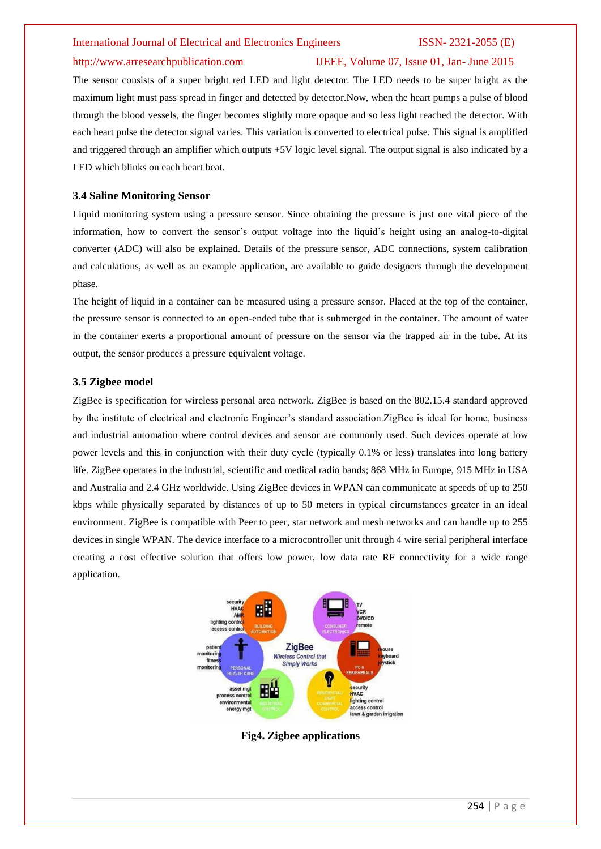#### International Journal of Electrical and Electronics Engineers ISSN- 2321-2055 (E)

### http://www.arresearchpublication.com IJEEE, Volume 07, Issue 01, Jan- June 2015

The sensor consists of a super bright red LED and light detector. The LED needs to be super bright as the maximum light must pass spread in finger and detected by detector.Now, when the heart pumps a pulse of blood through the blood vessels, the finger becomes slightly more opaque and so less light reached the detector. With each heart pulse the detector signal varies. This variation is converted to electrical pulse. This signal is amplified and triggered through an amplifier which outputs +5V logic level signal. The output signal is also indicated by a LED which blinks on each heart beat.

#### **3.4 Saline Monitoring Sensor**

Liquid monitoring system using a pressure sensor. Since obtaining the pressure is just one vital piece of the information, how to convert the sensor's output voltage into the liquid's height using an analog-to-digital converter (ADC) will also be explained. Details of the pressure sensor, ADC connections, system calibration and calculations, as well as an example application, are available to guide designers through the development phase.

The height of liquid in a container can be measured using a pressure sensor. Placed at the top of the container, the pressure sensor is connected to an open-ended tube that is submerged in the container. The amount of water in the container exerts a proportional amount of pressure on the sensor via the trapped air in the tube. At its output, the sensor produces a pressure equivalent voltage.

#### **3.5 Zigbee model**

ZigBee is specification for wireless personal area network. ZigBee is based on the 802.15.4 standard approved by the institute of electrical and electronic Engineer's standard association.ZigBee is ideal for home, business and industrial automation where control devices and sensor are commonly used. Such devices operate at low power levels and this in conjunction with their duty cycle (typically 0.1% or less) translates into long battery life. ZigBee operates in the industrial, scientific and medical radio bands; 868 MHz in Europe, 915 MHz in USA and Australia and 2.4 GHz worldwide. Using ZigBee devices in WPAN can communicate at speeds of up to 250 kbps while physically separated by distances of up to 50 meters in typical circumstances greater in an ideal environment. ZigBee is compatible with Peer to peer, star network and mesh networks and can handle up to 255 devices in single WPAN. The device interface to a microcontroller unit through 4 wire serial peripheral interface creating a cost effective solution that offers low power, low data rate RF connectivity for a wide range application.



**Fig4. Zigbee applications**